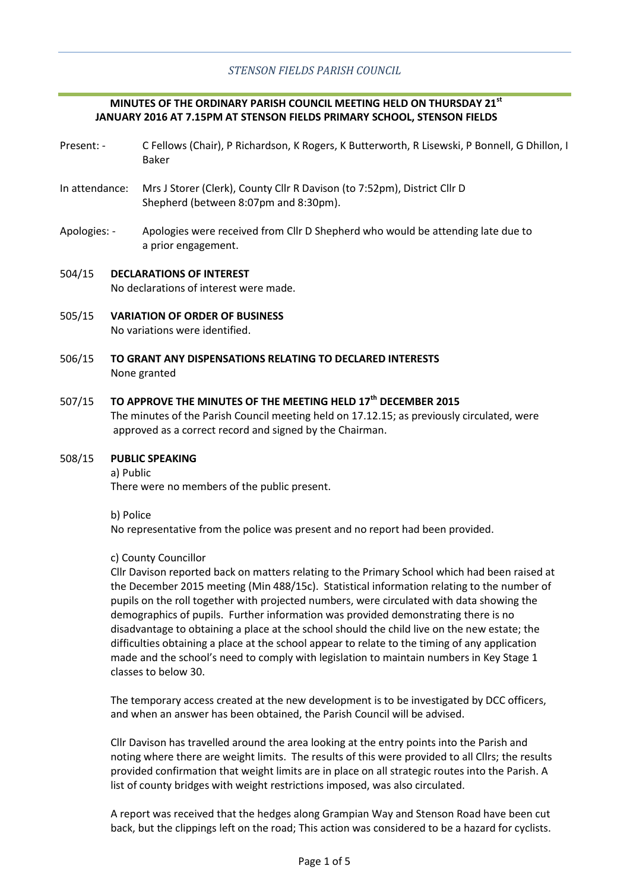# **MINUTES OF THE ORDINARY PARISH COUNCIL MEETING HELD ON THURSDAY 21st JANUARY 2016 AT 7.15PM AT STENSON FIELDS PRIMARY SCHOOL, STENSON FIELDS**

- Present: C Fellows (Chair), P Richardson, K Rogers, K Butterworth, R Lisewski, P Bonnell, G Dhillon, I Baker
- In attendance: Mrs J Storer (Clerk), County Cllr R Davison (to 7:52pm), District Cllr D Shepherd (between 8:07pm and 8:30pm).
- Apologies: Apologies were received from Cllr D Shepherd who would be attending late due to a prior engagement.
- 504/15 **DECLARATIONS OF INTEREST** No declarations of interest were made.
- 505/15 **VARIATION OF ORDER OF BUSINESS** No variations were identified.
- 506/15 **TO GRANT ANY DISPENSATIONS RELATING TO DECLARED INTERESTS** None granted

## 507/15 **TO APPROVE THE MINUTES OF THE MEETING HELD 17th DECEMBER 2015**

The minutes of the Parish Council meeting held on 17.12.15; as previously circulated, were approved as a correct record and signed by the Chairman.

## 508/15 **PUBLIC SPEAKING**

a) Public

There were no members of the public present.

b) Police

No representative from the police was present and no report had been provided.

# c) County Councillor

Cllr Davison reported back on matters relating to the Primary School which had been raised at the December 2015 meeting (Min 488/15c). Statistical information relating to the number of pupils on the roll together with projected numbers, were circulated with data showing the demographics of pupils. Further information was provided demonstrating there is no disadvantage to obtaining a place at the school should the child live on the new estate; the difficulties obtaining a place at the school appear to relate to the timing of any application made and the school's need to comply with legislation to maintain numbers in Key Stage 1 classes to below 30.

The temporary access created at the new development is to be investigated by DCC officers, and when an answer has been obtained, the Parish Council will be advised.

Cllr Davison has travelled around the area looking at the entry points into the Parish and noting where there are weight limits. The results of this were provided to all Cllrs; the results provided confirmation that weight limits are in place on all strategic routes into the Parish. A list of county bridges with weight restrictions imposed, was also circulated.

A report was received that the hedges along Grampian Way and Stenson Road have been cut back, but the clippings left on the road; This action was considered to be a hazard for cyclists.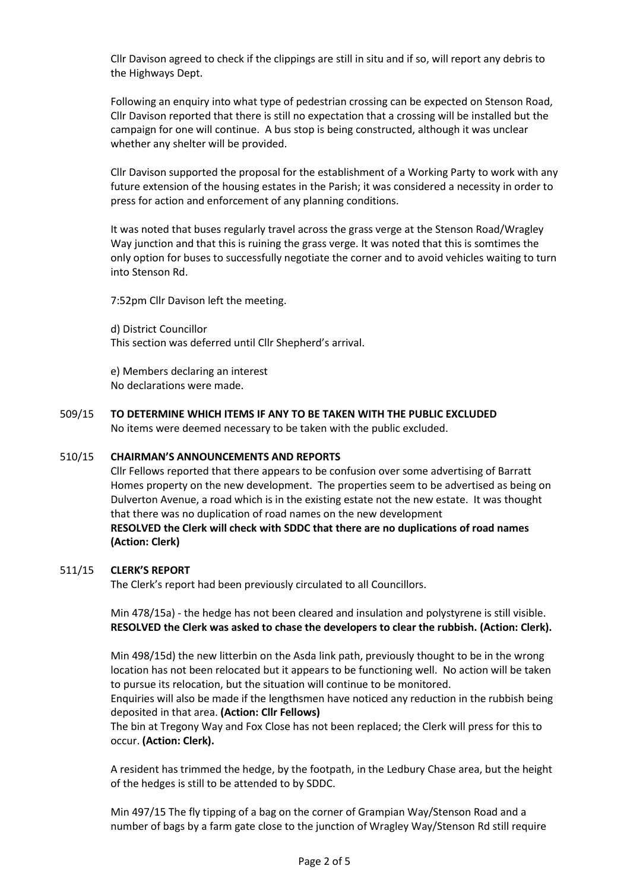Cllr Davison agreed to check if the clippings are still in situ and if so, will report any debris to the Highways Dept.

Following an enquiry into what type of pedestrian crossing can be expected on Stenson Road, Cllr Davison reported that there is still no expectation that a crossing will be installed but the campaign for one will continue. A bus stop is being constructed, although it was unclear whether any shelter will be provided.

Cllr Davison supported the proposal for the establishment of a Working Party to work with any future extension of the housing estates in the Parish; it was considered a necessity in order to press for action and enforcement of any planning conditions.

It was noted that buses regularly travel across the grass verge at the Stenson Road/Wragley Way junction and that this is ruining the grass verge. It was noted that this is somtimes the only option for buses to successfully negotiate the corner and to avoid vehicles waiting to turn into Stenson Rd.

7:52pm Cllr Davison left the meeting.

d) District Councillor This section was deferred until Cllr Shepherd's arrival.

e) Members declaring an interest No declarations were made.

509/15 **TO DETERMINE WHICH ITEMS IF ANY TO BE TAKEN WITH THE PUBLIC EXCLUDED** No items were deemed necessary to be taken with the public excluded.

## 510/15 **CHAIRMAN'S ANNOUNCEMENTS AND REPORTS**

Cllr Fellows reported that there appears to be confusion over some advertising of Barratt Homes property on the new development. The properties seem to be advertised as being on Dulverton Avenue, a road which is in the existing estate not the new estate. It was thought that there was no duplication of road names on the new development **RESOLVED the Clerk will check with SDDC that there are no duplications of road names (Action: Clerk)**

### 511/15 **CLERK'S REPORT**

The Clerk's report had been previously circulated to all Councillors.

Min 478/15a) - the hedge has not been cleared and insulation and polystyrene is still visible. **RESOLVED the Clerk was asked to chase the developers to clear the rubbish. (Action: Clerk).**

Min 498/15d) the new litterbin on the Asda link path, previously thought to be in the wrong location has not been relocated but it appears to be functioning well. No action will be taken to pursue its relocation, but the situation will continue to be monitored.

Enquiries will also be made if the lengthsmen have noticed any reduction in the rubbish being deposited in that area. **(Action: Cllr Fellows)**

The bin at Tregony Way and Fox Close has not been replaced; the Clerk will press for this to occur. **(Action: Clerk).**

A resident has trimmed the hedge, by the footpath, in the Ledbury Chase area, but the height of the hedges is still to be attended to by SDDC.

Min 497/15 The fly tipping of a bag on the corner of Grampian Way/Stenson Road and a number of bags by a farm gate close to the junction of Wragley Way/Stenson Rd still require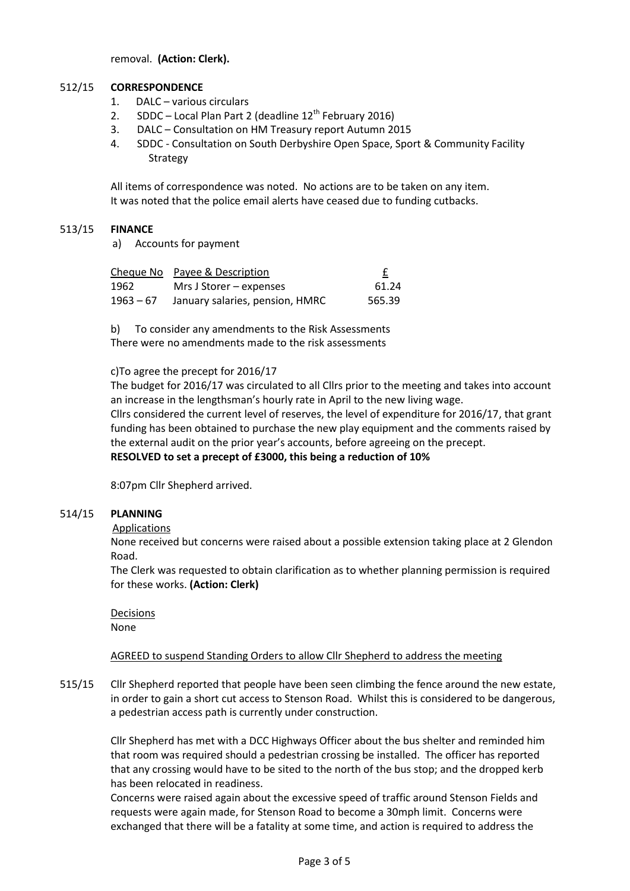removal. **(Action: Clerk).**

## 512/15 **CORRESPONDENCE**

- 1. DALC various circulars
- 2. SDDC Local Plan Part 2 (deadline  $12<sup>th</sup>$  February 2016)
- 3. DALC Consultation on HM Treasury report Autumn 2015
- 4. SDDC Consultation on South Derbyshire Open Space, Sport & Community Facility **Strategy**

All items of correspondence was noted. No actions are to be taken on any item. It was noted that the police email alerts have ceased due to funding cutbacks.

## 513/15 **FINANCE**

a) Accounts for payment

|             | Cheque No Payee & Description   |        |
|-------------|---------------------------------|--------|
| 1962        | Mrs J Storer – expenses         | 61.24  |
| $1963 - 67$ | January salaries, pension, HMRC | 565.39 |

b) To consider any amendments to the Risk Assessments There were no amendments made to the risk assessments

# c)To agree the precept for 2016/17

The budget for 2016/17 was circulated to all Cllrs prior to the meeting and takes into account an increase in the lengthsman's hourly rate in April to the new living wage. Cllrs considered the current level of reserves, the level of expenditure for 2016/17, that grant funding has been obtained to purchase the new play equipment and the comments raised by the external audit on the prior year's accounts, before agreeing on the precept. **RESOLVED to set a precept of £3000, this being a reduction of 10%**

8:07pm Cllr Shepherd arrived.

## 514/15 **PLANNING**

Applications

None received but concerns were raised about a possible extension taking place at 2 Glendon Road.

The Clerk was requested to obtain clarification as to whether planning permission is required for these works. **(Action: Clerk)**

Decisions None

# AGREED to suspend Standing Orders to allow Cllr Shepherd to address the meeting

515/15 Cllr Shepherd reported that people have been seen climbing the fence around the new estate, in order to gain a short cut access to Stenson Road. Whilst this is considered to be dangerous, a pedestrian access path is currently under construction.

> Cllr Shepherd has met with a DCC Highways Officer about the bus shelter and reminded him that room was required should a pedestrian crossing be installed. The officer has reported that any crossing would have to be sited to the north of the bus stop; and the dropped kerb has been relocated in readiness.

Concerns were raised again about the excessive speed of traffic around Stenson Fields and requests were again made, for Stenson Road to become a 30mph limit. Concerns were exchanged that there will be a fatality at some time, and action is required to address the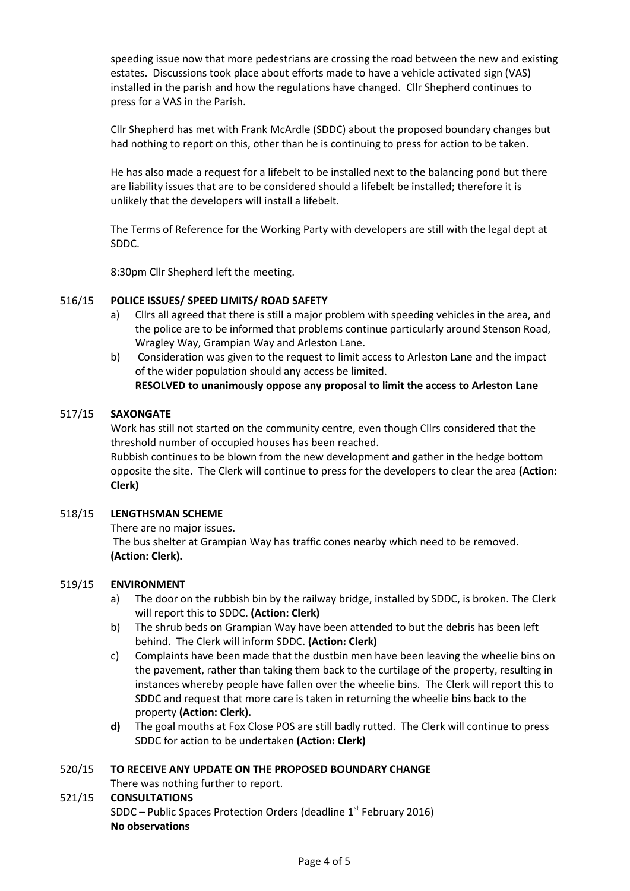speeding issue now that more pedestrians are crossing the road between the new and existing estates. Discussions took place about efforts made to have a vehicle activated sign (VAS) installed in the parish and how the regulations have changed. Cllr Shepherd continues to press for a VAS in the Parish.

Cllr Shepherd has met with Frank McArdle (SDDC) about the proposed boundary changes but had nothing to report on this, other than he is continuing to press for action to be taken.

He has also made a request for a lifebelt to be installed next to the balancing pond but there are liability issues that are to be considered should a lifebelt be installed; therefore it is unlikely that the developers will install a lifebelt.

The Terms of Reference for the Working Party with developers are still with the legal dept at SDDC.

8:30pm Cllr Shepherd left the meeting.

## 516/15 **POLICE ISSUES/ SPEED LIMITS/ ROAD SAFETY**

- a) Cllrs all agreed that there is still a major problem with speeding vehicles in the area, and the police are to be informed that problems continue particularly around Stenson Road, Wragley Way, Grampian Way and Arleston Lane.
- b) Consideration was given to the request to limit access to Arleston Lane and the impact of the wider population should any access be limited.

# **RESOLVED to unanimously oppose any proposal to limit the access to Arleston Lane**

## 517/15 **SAXONGATE**

Work has still not started on the community centre, even though Cllrs considered that the threshold number of occupied houses has been reached.

Rubbish continues to be blown from the new development and gather in the hedge bottom opposite the site. The Clerk will continue to press for the developers to clear the area **(Action: Clerk)**

## 518/15 **LENGTHSMAN SCHEME**

There are no major issues.

The bus shelter at Grampian Way has traffic cones nearby which need to be removed. **(Action: Clerk).**

## 519/15 **ENVIRONMENT**

- a) The door on the rubbish bin by the railway bridge, installed by SDDC, is broken. The Clerk will report this to SDDC. **(Action: Clerk)**
- b) The shrub beds on Grampian Way have been attended to but the debris has been left behind. The Clerk will inform SDDC. **(Action: Clerk)**
- c) Complaints have been made that the dustbin men have been leaving the wheelie bins on the pavement, rather than taking them back to the curtilage of the property, resulting in instances whereby people have fallen over the wheelie bins. The Clerk will report this to SDDC and request that more care is taken in returning the wheelie bins back to the property **(Action: Clerk).**
- **d)** The goal mouths at Fox Close POS are still badly rutted. The Clerk will continue to press SDDC for action to be undertaken **(Action: Clerk)**

## 520/15 **TO RECEIVE ANY UPDATE ON THE PROPOSED BOUNDARY CHANGE**

- There was nothing further to report.
- 521/15 **CONSULTATIONS** SDDC – Public Spaces Protection Orders (deadline  $1<sup>st</sup>$  February 2016) **No observations**